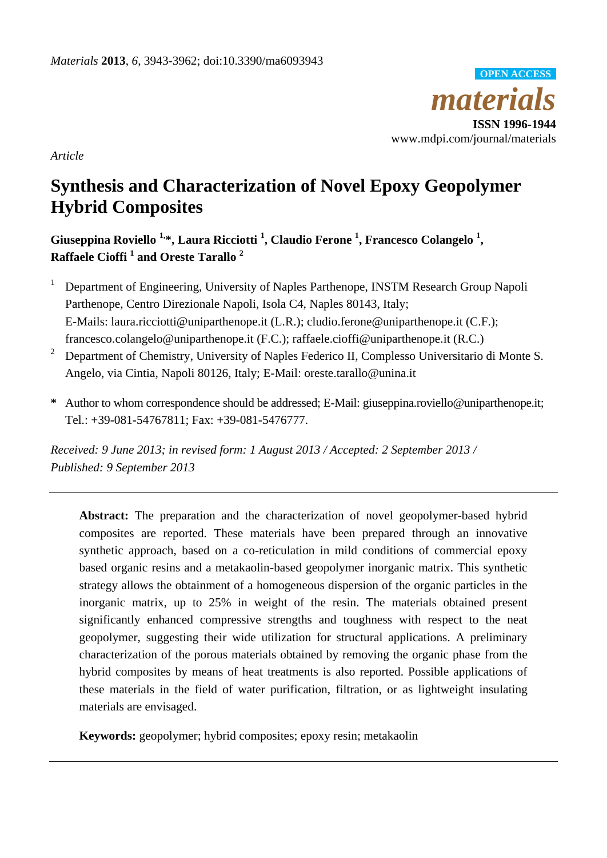

*Article*

# **Synthesis and Characterization of Novel Epoxy Geopolymer Hybrid Composites**

**Giuseppina Roviello 1, \*, Laura Ricciotti <sup>1</sup> , Claudio Ferone <sup>1</sup> , Francesco Colangelo <sup>1</sup> , Raffaele Cioffi <sup>1</sup> and Oreste Tarallo <sup>2</sup>**

- <sup>1</sup> Department of Engineering, University of Naples Parthenope, INSTM Research Group Napoli Parthenope, Centro Direzionale Napoli, Isola C4, Naples 80143, Italy; E-Mails: laura.ricciotti@uniparthenope.it (L.R.); cludio.ferone@uniparthenope.it (C.F.); francesco.colangelo@uniparthenope.it (F.C.); raffaele.cioffi@uniparthenope.it (R.C.)
- <sup>2</sup> Department of Chemistry, University of Naples Federico II, Complesso Universitario di Monte S. Angelo, via Cintia, Napoli 80126, Italy; E-Mail: oreste.tarallo@unina.it
- **\*** Author to whom correspondence should be addressed; E-Mail: giuseppina.roviello@uniparthenope.it; Tel.: +39-081-54767811; Fax: +39-081-5476777.

*Received: 9 June 2013; in revised form: 1 August 2013 / Accepted: 2 September 2013 / Published: 9 September 2013*

**Abstract:** The preparation and the characterization of novel geopolymer-based hybrid composites are reported. These materials have been prepared through an innovative synthetic approach, based on a co-reticulation in mild conditions of commercial epoxy based organic resins and a metakaolin-based geopolymer inorganic matrix. This synthetic strategy allows the obtainment of a homogeneous dispersion of the organic particles in the inorganic matrix, up to 25% in weight of the resin. The materials obtained present significantly enhanced compressive strengths and toughness with respect to the neat geopolymer, suggesting their wide utilization for structural applications. A preliminary characterization of the porous materials obtained by removing the organic phase from the hybrid composites by means of heat treatments is also reported. Possible applications of these materials in the field of water purification, filtration, or as lightweight insulating materials are envisaged.

**Keywords:** geopolymer; hybrid composites; epoxy resin; metakaolin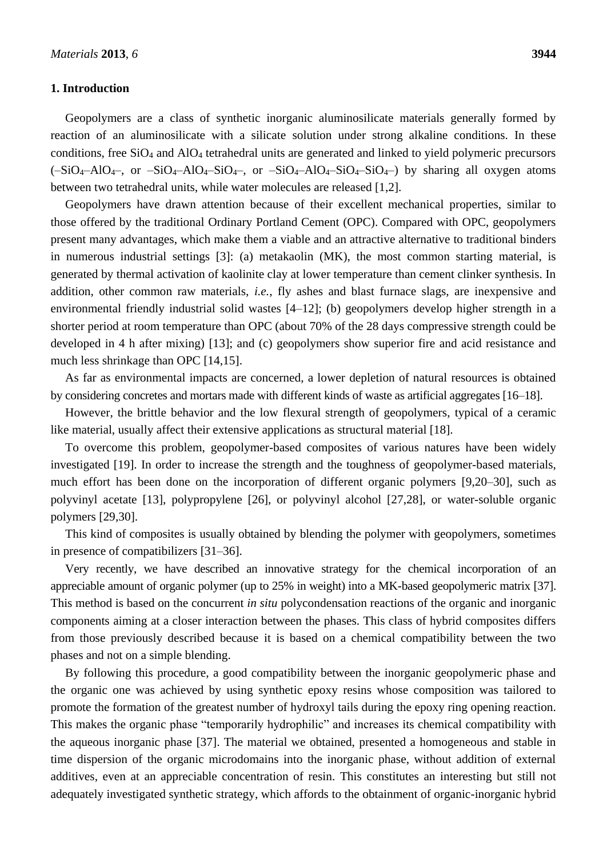# **1. Introduction**

Geopolymers are a class of synthetic inorganic aluminosilicate materials generally formed by reaction of an aluminosilicate with a silicate solution under strong alkaline conditions. In these conditions, free  $SiO<sub>4</sub>$  and  $AlO<sub>4</sub>$  tetrahedral units are generated and linked to yield polymeric precursors  $(-SiO_4-AIO_4-, \text{ or } -SiO_4-AIO_4-SIO_4-, \text{ or } -SiO_4-AIO_4-SIO_4-SIO_4-SIO_4-)$  by sharing all oxygen atoms between two tetrahedral units, while water molecules are released [1,2].

Geopolymers have drawn attention because of their excellent mechanical properties, similar to those offered by the traditional Ordinary Portland Cement (OPC). Compared with OPC, geopolymers present many advantages, which make them a viable and an attractive alternative to traditional binders in numerous industrial settings [3]: (a) metakaolin (MK), the most common starting material, is generated by thermal activation of kaolinite clay at lower temperature than cement clinker synthesis. In addition, other common raw materials, *i.e.*, fly ashes and blast furnace slags, are inexpensive and environmental friendly industrial solid wastes [4–12]; (b) geopolymers develop higher strength in a shorter period at room temperature than OPC (about 70% of the 28 days compressive strength could be developed in 4 h after mixing) [13]; and (c) geopolymers show superior fire and acid resistance and much less shrinkage than OPC [14,15].

As far as environmental impacts are concerned, a lower depletion of natural resources is obtained by considering concretes and mortars made with different kinds of waste as artificial aggregates [16–18].

However, the brittle behavior and the low flexural strength of geopolymers, typical of a ceramic like material, usually affect their extensive applications as structural material [18].

To overcome this problem, geopolymer-based composites of various natures have been widely investigated [19]. In order to increase the strength and the toughness of geopolymer-based materials, much effort has been done on the incorporation of different organic polymers [9,20–30], such as polyvinyl acetate [13], polypropylene [26], or polyvinyl alcohol [27,28], or water-soluble organic polymers [29,30].

This kind of composites is usually obtained by blending the polymer with geopolymers, sometimes in presence of compatibilizers [31–36].

Very recently, we have described an innovative strategy for the chemical incorporation of an appreciable amount of organic polymer (up to 25% in weight) into a MK-based geopolymeric matrix [37]. This method is based on the concurrent *in situ* polycondensation reactions of the organic and inorganic components aiming at a closer interaction between the phases. This class of hybrid composites differs from those previously described because it is based on a chemical compatibility between the two phases and not on a simple blending.

By following this procedure, a good compatibility between the inorganic geopolymeric phase and the organic one was achieved by using synthetic epoxy resins whose composition was tailored to promote the formation of the greatest number of hydroxyl tails during the epoxy ring opening reaction. This makes the organic phase "temporarily hydrophilic" and increases its chemical compatibility with the aqueous inorganic phase [37]. The material we obtained, presented a homogeneous and stable in time dispersion of the organic microdomains into the inorganic phase, without addition of external additives, even at an appreciable concentration of resin. This constitutes an interesting but still not adequately investigated synthetic strategy, which affords to the obtainment of organic-inorganic hybrid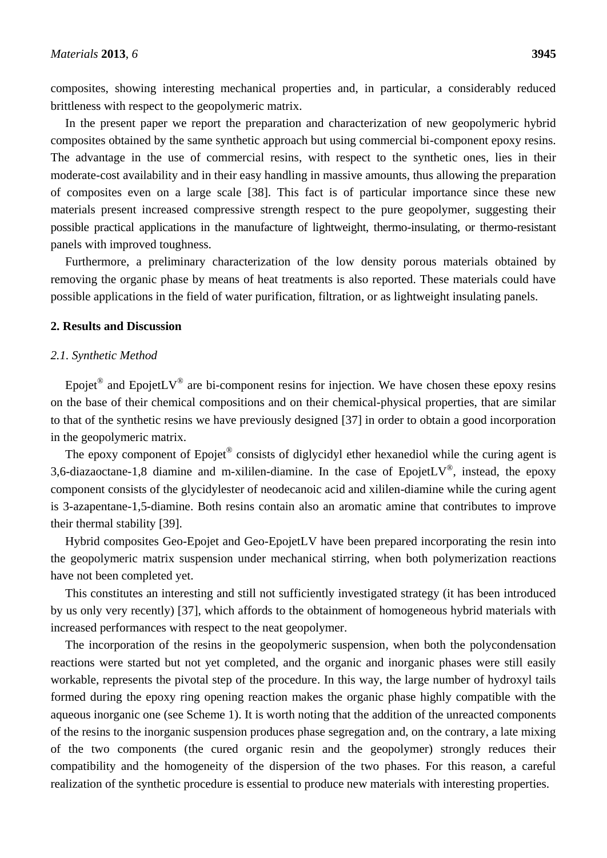composites, showing interesting mechanical properties and, in particular, a considerably reduced brittleness with respect to the geopolymeric matrix.

In the present paper we report the preparation and characterization of new geopolymeric hybrid composites obtained by the same synthetic approach but using commercial bi-component epoxy resins. The advantage in the use of commercial resins, with respect to the synthetic ones, lies in their moderate-cost availability and in their easy handling in massive amounts, thus allowing the preparation of composites even on a large scale [38]. This fact is of particular importance since these new materials present increased compressive strength respect to the pure geopolymer, suggesting their possible practical applications in the manufacture of lightweight, thermo-insulating, or thermo-resistant panels with improved toughness.

Furthermore, a preliminary characterization of the low density porous materials obtained by removing the organic phase by means of heat treatments is also reported. These materials could have possible applications in the field of water purification, filtration, or as lightweight insulating panels.

# **2. Results and Discussion**

## *2.1. Synthetic Method*

Epojet<sup>®</sup> and EpojetLV<sup>®</sup> are bi-component resins for injection. We have chosen these epoxy resins on the base of their chemical compositions and on their chemical-physical properties, that are similar to that of the synthetic resins we have previously designed [37] in order to obtain a good incorporation in the geopolymeric matrix.

The epoxy component of  $Epojet^{\circledast}$  consists of diglycidyl ether hexanediol while the curing agent is 3,6-diazaoctane-1,8 diamine and m-xililen-diamine. In the case of EpojetLV<sup>®</sup>, instead, the epoxy component consists of the glycidylester of neodecanoic acid and xililen-diamine while the curing agent is 3-azapentane-1,5-diamine. Both resins contain also an aromatic amine that contributes to improve their thermal stability [39].

Hybrid composites Geo-Epojet and Geo-EpojetLV have been prepared incorporating the resin into the geopolymeric matrix suspension under mechanical stirring, when both polymerization reactions have not been completed yet.

This constitutes an interesting and still not sufficiently investigated strategy (it has been introduced by us only very recently) [37], which affords to the obtainment of homogeneous hybrid materials with increased performances with respect to the neat geopolymer.

The incorporation of the resins in the geopolymeric suspension, when both the polycondensation reactions were started but not yet completed, and the organic and inorganic phases were still easily workable, represents the pivotal step of the procedure. In this way, the large number of hydroxyl tails formed during the epoxy ring opening reaction makes the organic phase highly compatible with the aqueous inorganic one (see Scheme 1). It is worth noting that the addition of the unreacted components of the resins to the inorganic suspension produces phase segregation and, on the contrary, a late mixing of the two components (the cured organic resin and the geopolymer) strongly reduces their compatibility and the homogeneity of the dispersion of the two phases. For this reason, a careful realization of the synthetic procedure is essential to produce new materials with interesting properties.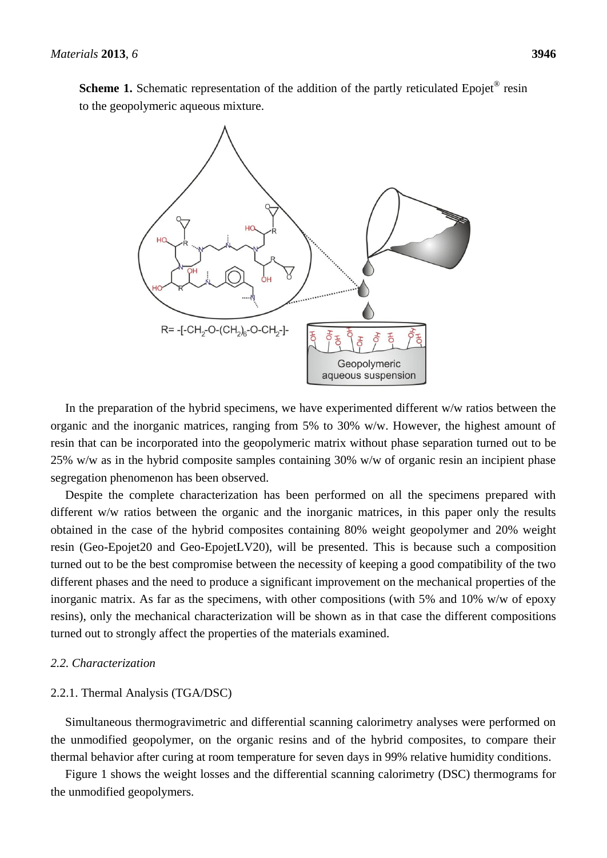Scheme 1. Schematic representation of the addition of the partly reticulated Epojet<sup>®</sup> resin to the geopolymeric aqueous mixture.



In the preparation of the hybrid specimens, we have experimented different w/w ratios between the organic and the inorganic matrices, ranging from 5% to 30% w/w. However, the highest amount of resin that can be incorporated into the geopolymeric matrix without phase separation turned out to be 25% w/w as in the hybrid composite samples containing 30% w/w of organic resin an incipient phase segregation phenomenon has been observed.

Despite the complete characterization has been performed on all the specimens prepared with different w/w ratios between the organic and the inorganic matrices, in this paper only the results obtained in the case of the hybrid composites containing 80% weight geopolymer and 20% weight resin (Geo-Epojet20 and Geo-EpojetLV20), will be presented. This is because such a composition turned out to be the best compromise between the necessity of keeping a good compatibility of the two different phases and the need to produce a significant improvement on the mechanical properties of the inorganic matrix. As far as the specimens, with other compositions (with 5% and 10% w/w of epoxy resins), only the mechanical characterization will be shown as in that case the different compositions turned out to strongly affect the properties of the materials examined.

# *2.2. Characterization*

# 2.2.1. Thermal Analysis (TGA/DSC)

Simultaneous thermogravimetric and differential scanning calorimetry analyses were performed on the unmodified geopolymer, on the organic resins and of the hybrid composites, to compare their thermal behavior after curing at room temperature for seven days in 99% relative humidity conditions.

Figure 1 shows the weight losses and the differential scanning calorimetry (DSC) thermograms for the unmodified geopolymers.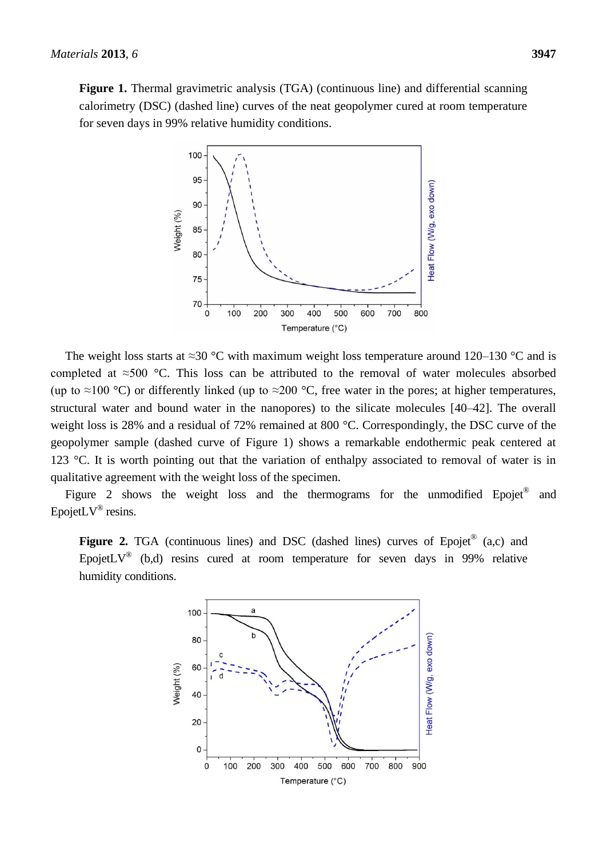**Figure 1.** Thermal gravimetric analysis (TGA) (continuous line) and differential scanning calorimetry (DSC) (dashed line) curves of the neat geopolymer cured at room temperature for seven days in 99% relative humidity conditions.



The weight loss starts at ≈30 °C with maximum weight loss temperature around 120–130 °C and is completed at ≈500 °C. This loss can be attributed to the removal of water molecules absorbed (up to ≈100 °C) or differently linked (up to ≈200 °C, free water in the pores; at higher temperatures, structural water and bound water in the nanopores) to the silicate molecules [40–42]. The overall weight loss is 28% and a residual of 72% remained at 800 °C. Correspondingly, the DSC curve of the geopolymer sample (dashed curve of Figure 1) shows a remarkable endothermic peak centered at 123 °C. It is worth pointing out that the variation of enthalpy associated to removal of water is in qualitative agreement with the weight loss of the specimen.

Figure 2 shows the weight loss and the thermograms for the unmodified Epojet<sup>®</sup> and EpojetL $V^{\circledast}$  resins.

Figure 2. TGA (continuous lines) and DSC (dashed lines) curves of Epojet<sup>®</sup> (a,c) and EpojetL $V^{\circledast}$  (b,d) resins cured at room temperature for seven days in 99% relative humidity conditions.

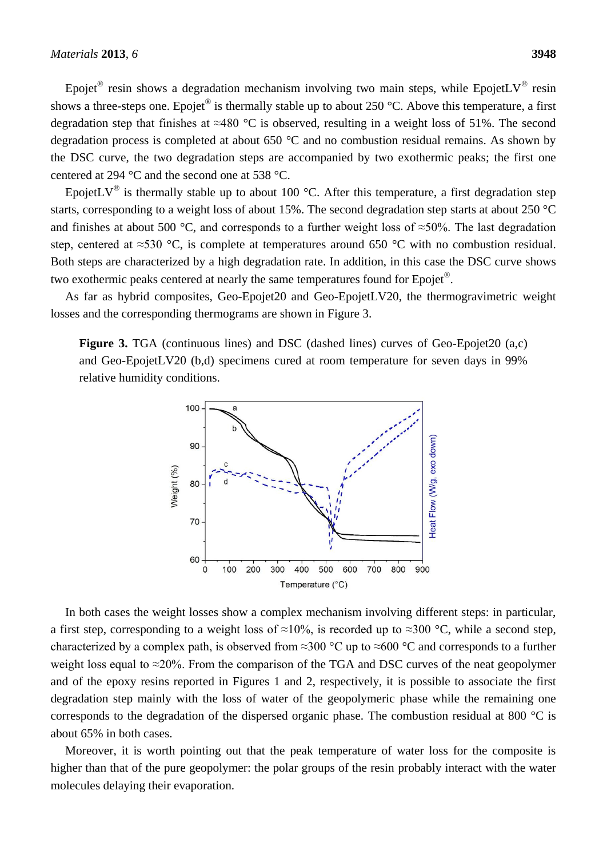Epojet® resin shows a degradation mechanism involving two main steps, while EpojetLV® resin shows a three-steps one. Epojet<sup>®</sup> is thermally stable up to about 250 °C. Above this temperature, a first degradation step that finishes at ≈480 °C is observed, resulting in a weight loss of 51%. The second degradation process is completed at about 650  $\mathcal C$  and no combustion residual remains. As shown by the DSC curve, the two degradation steps are accompanied by two exothermic peaks; the first one centered at 294  $\,^{\circ}$  C and the second one at 538  $\,^{\circ}$ C.

EpojetLV<sup>®</sup> is thermally stable up to about 100 °C. After this temperature, a first degradation step starts, corresponding to a weight loss of about 15%. The second degradation step starts at about 250 °C and finishes at about 500 °C, and corresponds to a further weight loss of ≈50%. The last degradation step, centered at ≈530 °C, is complete at temperatures around 650 °C with no combustion residual. Both steps are characterized by a high degradation rate. In addition, in this case the DSC curve shows two exothermic peaks centered at nearly the same temperatures found for Epojet<sup>®</sup>.

As far as hybrid composites, Geo-Epojet20 and Geo-EpojetLV20, the thermogravimetric weight losses and the corresponding thermograms are shown in Figure 3.

**Figure 3.** TGA (continuous lines) and DSC (dashed lines) curves of Geo-Epojet20 (a,c) and Geo-EpojetLV20 (b,d) specimens cured at room temperature for seven days in 99% relative humidity conditions.



In both cases the weight losses show a complex mechanism involving different steps: in particular, a first step, corresponding to a weight loss of ≈10%, is recorded up to ≈300 °C, while a second step, characterized by a complex path, is observed from  $\approx$ 300 °C up to  $\approx$ 600 °C and corresponds to a further weight loss equal to ≈20%. From the comparison of the TGA and DSC curves of the neat geopolymer and of the epoxy resins reported in Figures 1 and 2, respectively, it is possible to associate the first degradation step mainly with the loss of water of the geopolymeric phase while the remaining one corresponds to the degradation of the dispersed organic phase. The combustion residual at 800  $\degree$ C is about 65% in both cases.

Moreover, it is worth pointing out that the peak temperature of water loss for the composite is higher than that of the pure geopolymer: the polar groups of the resin probably interact with the water molecules delaying their evaporation.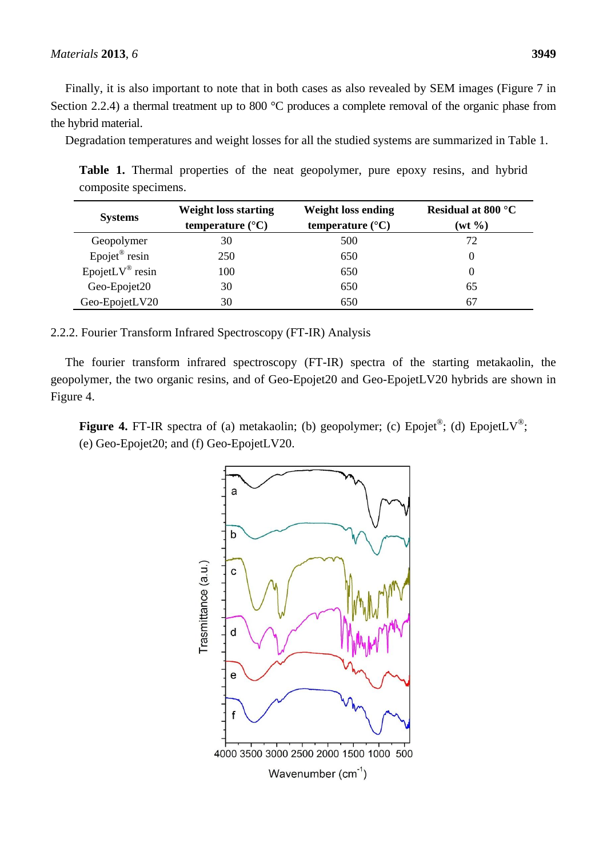Finally, it is also important to note that in both cases as also revealed by SEM images (Figure 7 in Section 2.2.4) a thermal treatment up to 800  $\mathbb C$  produces a complete removal of the organic phase from the hybrid material.

Degradation temperatures and weight losses for all the studied systems are summarized in Table 1.

**Table 1.** Thermal properties of the neat geopolymer, pure epoxy resins, and hybrid composite specimens.

| <b>Systems</b>              | <b>Weight loss starting</b> | <b>Weight loss ending</b> | Residual at 800 $\mathcal{C}$ |
|-----------------------------|-----------------------------|---------------------------|-------------------------------|
|                             | temperature $(\mathcal{C})$ | temperature $({\cal C})$  | $(wt \, \%)$                  |
| Geopolymer                  | 30                          | 500                       | 72                            |
| $Epojet^{\circledR}$ resin  | 250                         | 650                       |                               |
| EpojetL $V^{\otimes}$ resin | 100                         | 650                       | 0                             |
| Geo-Epojet20                | 30                          | 650                       | 65                            |
| Geo-EpojetLV20              | 30                          | 650                       | 67                            |

2.2.2. Fourier Transform Infrared Spectroscopy (FT-IR) Analysis

The fourier transform infrared spectroscopy (FT-IR) spectra of the starting metakaolin, the geopolymer, the two organic resins, and of Geo-Epojet20 and Geo-EpojetLV20 hybrids are shown in Figure 4.

Figure 4. FT-IR spectra of (a) metakaolin; (b) geopolymer; (c) Epojet®; (d) EpojetLV<sup>®</sup>; (e) Geo-Epojet20; and (f) Geo-EpojetLV20.

![](_page_6_Figure_8.jpeg)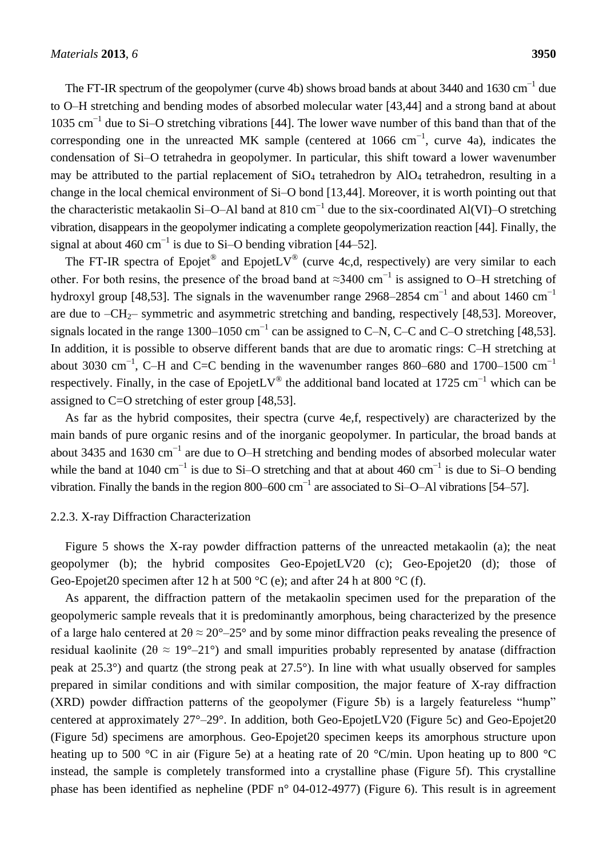The FT-IR spectrum of the geopolymer (curve 4b) shows broad bands at about 3440 and 1630 cm<sup>-1</sup> due to O–H stretching and bending modes of absorbed molecular water [43,44] and a strong band at about 1035 cm−1 due to Si–O stretching vibrations [44]. The lower wave number of this band than that of the corresponding one in the unreacted MK sample (centered at 1066 cm<sup>-1</sup>, curve 4a), indicates the condensation of Si–O tetrahedra in geopolymer. In particular, this shift toward a lower wavenumber may be attributed to the partial replacement of  $SiO<sub>4</sub>$  tetrahedron by  $AlO<sub>4</sub>$  tetrahedron, resulting in a change in the local chemical environment of Si–O bond [13,44]. Moreover, it is worth pointing out that the characteristic metakaolin Si–O–Al band at 810 cm<sup>-1</sup> due to the six-coordinated Al(VI)–O stretching vibration, disappears in the geopolymer indicating a complete geopolymerization reaction [44]. Finally, the signal at about 460 cm<sup>-1</sup> is due to Si–O bending vibration [44–52].

The FT-IR spectra of Epojet<sup>®</sup> and EpojetLV<sup>®</sup> (curve 4c,d, respectively) are very similar to each other. For both resins, the presence of the broad band at ≈3400 cm<sup>-1</sup> is assigned to O–H stretching of hydroxyl group [48,53]. The signals in the wavenumber range 2968–2854 cm<sup>-1</sup> and about 1460 cm<sup>-1</sup> are due to  $-CH_2$ – symmetric and asymmetric stretching and banding, respectively [48,53]. Moreover, signals located in the range 1300–1050 cm<sup>-1</sup> can be assigned to C–N, C–C and C–O stretching [48,53]. In addition, it is possible to observe different bands that are due to aromatic rings: C–H stretching at about 3030 cm<sup>-1</sup>, C–H and C=C bending in the wavenumber ranges 860–680 and 1700–1500 cm<sup>-1</sup> respectively. Finally, in the case of EpojetLV<sup>®</sup> the additional band located at 1725 cm<sup>-1</sup> which can be assigned to C=O stretching of ester group [48,53].

As far as the hybrid composites, their spectra (curve 4e,f, respectively) are characterized by the main bands of pure organic resins and of the inorganic geopolymer. In particular, the broad bands at about 3435 and 1630 cm<sup>-1</sup> are due to O–H stretching and bending modes of absorbed molecular water while the band at 1040 cm<sup>-1</sup> is due to Si–O stretching and that at about 460 cm<sup>-1</sup> is due to Si–O bending vibration. Finally the bands in the region 800–600  $\text{cm}^{-1}$  are associated to Si–O–Al vibrations [54–57].

#### 2.2.3. X-ray Diffraction Characterization

Figure 5 shows the X-ray powder diffraction patterns of the unreacted metakaolin (a); the neat geopolymer (b); the hybrid composites Geo-EpojetLV20 (c); Geo-Epojet20 (d); those of Geo-Epojet 20 specimen after 12 h at 500 °C (e); and after 24 h at 800 °C (f).

As apparent, the diffraction pattern of the metakaolin specimen used for the preparation of the geopolymeric sample reveals that it is predominantly amorphous, being characterized by the presence of a large halo centered at  $2\theta \approx 20^{\circ} - 25^{\circ}$  and by some minor diffraction peaks revealing the presence of residual kaolinite ( $2\theta \approx 19^{\circ} - 21^{\circ}$ ) and small impurities probably represented by anatase (diffraction peak at 25.3°) and quartz (the strong peak at 27.5°). In line with what usually observed for samples prepared in similar conditions and with similar composition, the major feature of X-ray diffraction (XRD) powder diffraction patterns of the geopolymer (Figure 5b) is a largely featureless "hump" centered at approximately  $27^{\circ}$ –29 $^{\circ}$ . In addition, both Geo-EpojetLV20 (Figure 5c) and Geo-Epojet20 (Figure 5d) specimens are amorphous. Geo-Epojet20 specimen keeps its amorphous structure upon heating up to 500 °C in air (Figure 5e) at a heating rate of 20 °C/min. Upon heating up to 800 °C instead, the sample is completely transformed into a crystalline phase (Figure 5f). This crystalline phase has been identified as nepheline (PDF n° 04-012-4977) (Figure 6). This result is in agreement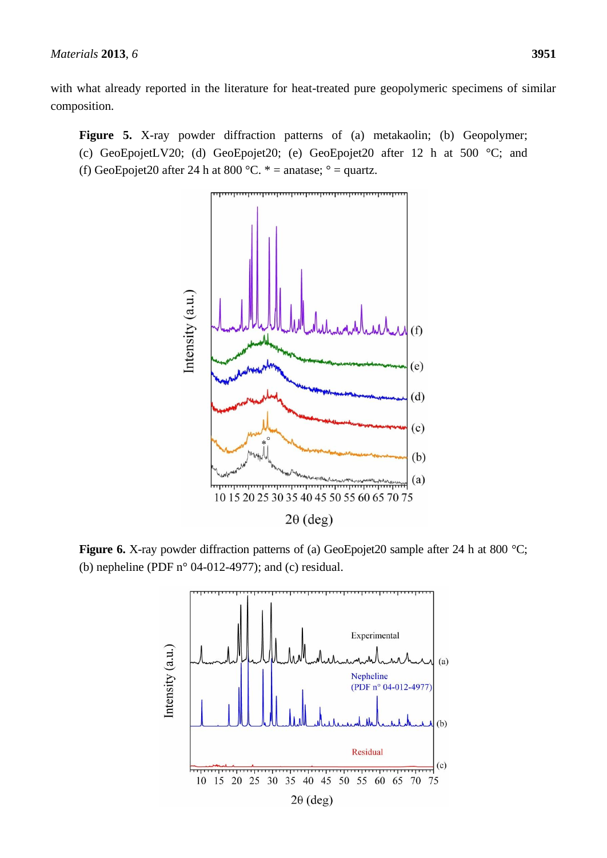with what already reported in the literature for heat-treated pure geopolymeric specimens of similar composition.

Figure 5. X-ray powder diffraction patterns of (a) metakaolin; (b) Geopolymer; (c) GeoEpojetLV20; (d) GeoEpojet20; (e) GeoEpojet20 after 12 h at 500 °C; and (f) GeoEpojet20 after 24 h at 800 °C.  $* =$  anatase;  $\degree =$  quartz.

![](_page_8_Figure_4.jpeg)

**Figure 6.** X-ray powder diffraction patterns of (a) GeoEpojet20 sample after 24 h at 800 °C; (b) nepheline (PDF n $\degree$ 04-012-4977); and (c) residual.

![](_page_8_Figure_6.jpeg)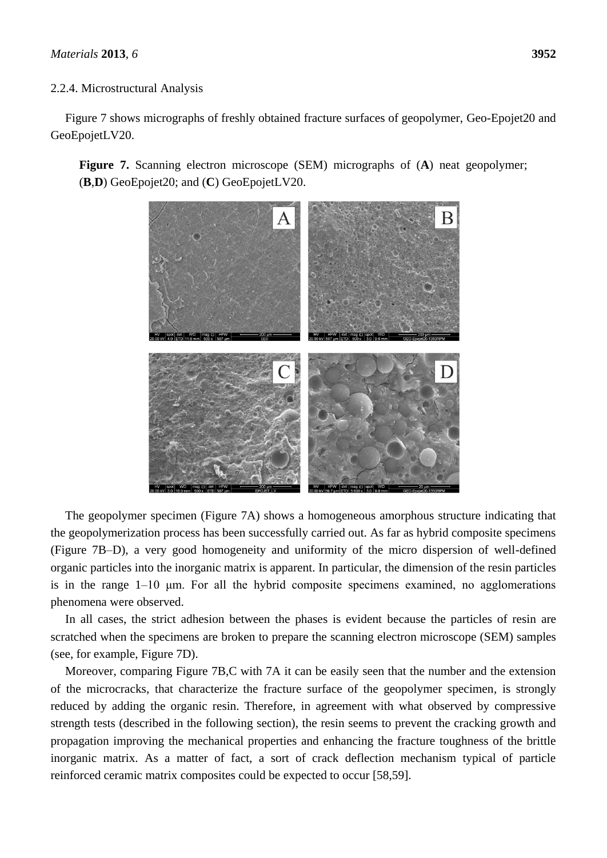# 2.2.4. Microstructural Analysis

Figure 7 shows micrographs of freshly obtained fracture surfaces of geopolymer, Geo-Epojet20 and GeoEpojetLV20.

**Figure 7.** Scanning electron microscope (SEM) micrographs of (**A**) neat geopolymer; (**B**,**D**) GeoEpojet20; and (**C**) GeoEpojetLV20.

![](_page_9_Picture_4.jpeg)

The geopolymer specimen (Figure 7A) shows a homogeneous amorphous structure indicating that the geopolymerization process has been successfully carried out. As far as hybrid composite specimens (Figure 7B–D), a very good homogeneity and uniformity of the micro dispersion of well-defined organic particles into the inorganic matrix is apparent. In particular, the dimension of the resin particles is in the range  $1-10$  μm. For all the hybrid composite specimens examined, no agglomerations phenomena were observed.

In all cases, the strict adhesion between the phases is evident because the particles of resin are scratched when the specimens are broken to prepare the scanning electron microscope (SEM) samples (see, for example, Figure 7D).

Moreover, comparing Figure 7B,C with 7A it can be easily seen that the number and the extension of the microcracks, that characterize the fracture surface of the geopolymer specimen, is strongly reduced by adding the organic resin. Therefore, in agreement with what observed by compressive strength tests (described in the following section), the resin seems to prevent the cracking growth and propagation improving the mechanical properties and enhancing the fracture toughness of the brittle inorganic matrix. As a matter of fact, a sort of crack deflection mechanism typical of particle reinforced ceramic matrix composites could be expected to occur [58,59].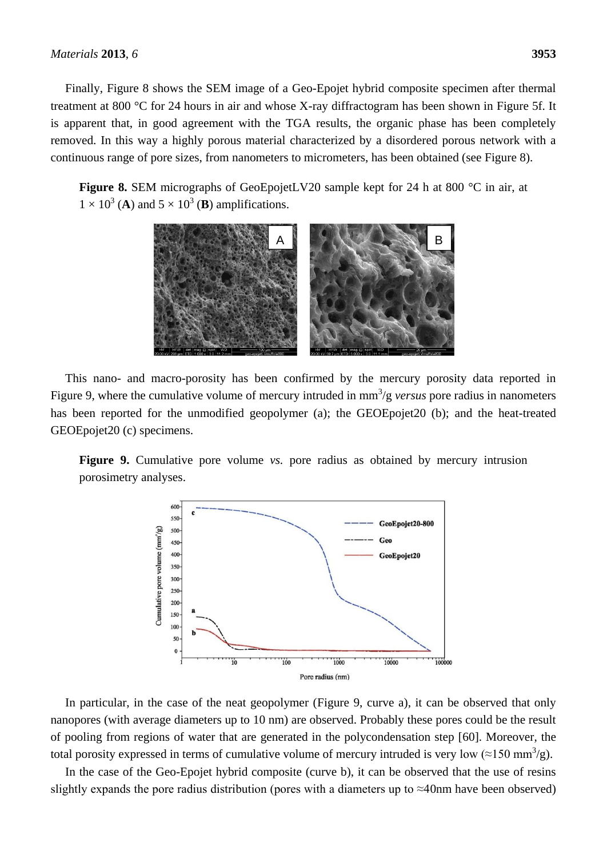Finally, Figure 8 shows the SEM image of a Geo-Epojet hybrid composite specimen after thermal treatment at 800 °C for 24 hours in air and whose X-ray diffractogram has been shown in Figure 5f. It is apparent that, in good agreement with the TGA results, the organic phase has been completely removed. In this way a highly porous material characterized by a disordered porous network with a continuous range of pore sizes, from nanometers to micrometers, has been obtained (see Figure 8).

**Figure 8.** SEM micrographs of GeoEpojetLV20 sample kept for 24 h at 800 °C in air, at  $1 \times 10^3$  (**A**) and  $5 \times 10^3$  (**B**) amplifications.

![](_page_10_Picture_3.jpeg)

This nano- and macro-porosity has been confirmed by the mercury porosity data reported in Figure 9, where the cumulative volume of mercury intruded in  $mm<sup>3</sup>/g$  *versus* pore radius in nanometers has been reported for the unmodified geopolymer (a); the GEOEpojet20 (b); and the heat-treated GEOEpojet20 (c) specimens.

**Figure 9.** Cumulative pore volume *vs.* pore radius as obtained by mercury intrusion porosimetry analyses.

![](_page_10_Figure_6.jpeg)

In particular, in the case of the neat geopolymer (Figure 9, curve a), it can be observed that only nanopores (with average diameters up to 10 nm) are observed. Probably these pores could be the result of pooling from regions of water that are generated in the polycondensation step [60]. Moreover, the total porosity expressed in terms of cumulative volume of mercury intruded is very low ( $\approx$ 150 mm<sup>3</sup>/g).

In the case of the Geo-Epojet hybrid composite (curve b), it can be observed that the use of resins slightly expands the pore radius distribution (pores with a diameters up to  $\approx$ 40nm have been observed)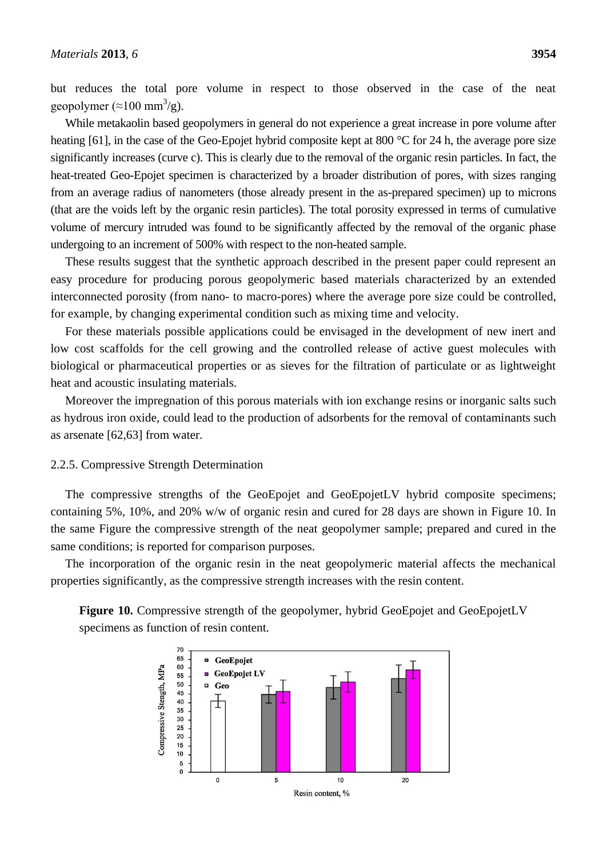but reduces the total pore volume in respect to those observed in the case of the neat geopolymer ( $\approx$ 100 mm<sup>3</sup>/g).

While metakaolin based geopolymers in general do not experience a great increase in pore volume after heating [61], in the case of the Geo-Epojet hybrid composite kept at 800  $\degree$  C for 24 h, the average pore size significantly increases (curve c). This is clearly due to the removal of the organic resin particles. In fact, the heat-treated Geo-Epojet specimen is characterized by a broader distribution of pores, with sizes ranging from an average radius of nanometers (those already present in the as-prepared specimen) up to microns (that are the voids left by the organic resin particles). The total porosity expressed in terms of cumulative volume of mercury intruded was found to be significantly affected by the removal of the organic phase undergoing to an increment of 500% with respect to the non-heated sample.

These results suggest that the synthetic approach described in the present paper could represent an easy procedure for producing porous geopolymeric based materials characterized by an extended interconnected porosity (from nano- to macro-pores) where the average pore size could be controlled, for example, by changing experimental condition such as mixing time and velocity.

For these materials possible applications could be envisaged in the development of new inert and low cost scaffolds for the cell growing and the controlled release of active guest molecules with biological or pharmaceutical properties or as sieves for the filtration of particulate or as lightweight heat and acoustic insulating materials.

Moreover the impregnation of this porous materials with ion exchange resins or inorganic salts such as hydrous iron oxide, could lead to the production of adsorbents for the removal of contaminants such as arsenate [62,63] from water.

# 2.2.5. Compressive Strength Determination

The compressive strengths of the GeoEpojet and GeoEpojetLV hybrid composite specimens; containing 5%, 10%, and 20% w/w of organic resin and cured for 28 days are shown in Figure 10. In the same Figure the compressive strength of the neat geopolymer sample; prepared and cured in the same conditions; is reported for comparison purposes.

The incorporation of the organic resin in the neat geopolymeric material affects the mechanical properties significantly, as the compressive strength increases with the resin content.

**Figure 10.** Compressive strength of the geopolymer, hybrid GeoEpojet and GeoEpojetLV specimens as function of resin content.

![](_page_11_Figure_11.jpeg)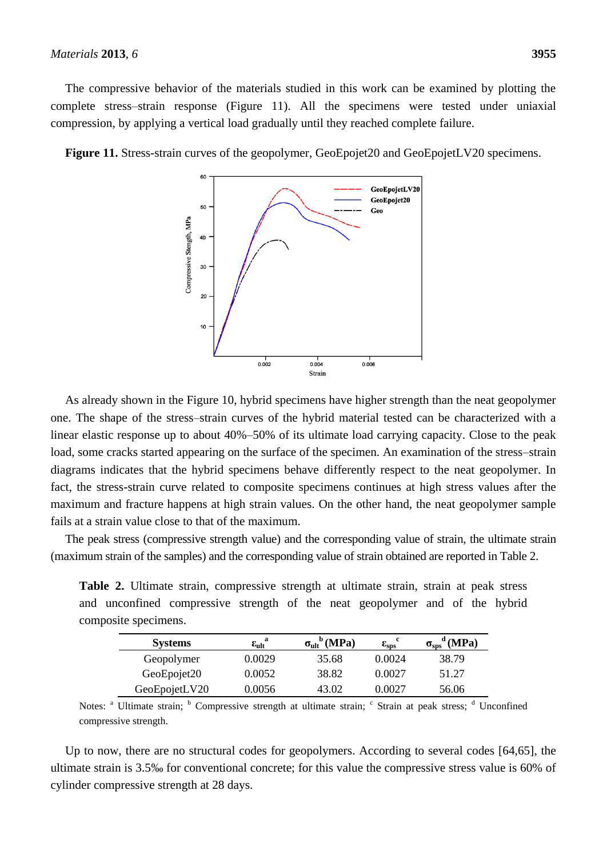The compressive behavior of the materials studied in this work can be examined by plotting the complete stress–strain response (Figure 11). All the specimens were tested under uniaxial compression, by applying a vertical load gradually until they reached complete failure.

![](_page_12_Figure_2.jpeg)

Figure 11. Stress-strain curves of the geopolymer, GeoEpojet20 and GeoEpojetLV20 specimens.

As already shown in the Figure 10, hybrid specimens have higher strength than the neat geopolymer one. The shape of the stress–strain curves of the hybrid material tested can be characterized with a linear elastic response up to about 40%–50% of its ultimate load carrying capacity. Close to the peak load, some cracks started appearing on the surface of the specimen. An examination of the stress–strain diagrams indicates that the hybrid specimens behave differently respect to the neat geopolymer. In fact, the stress-strain curve related to composite specimens continues at high stress values after the maximum and fracture happens at high strain values. On the other hand, the neat geopolymer sample fails at a strain value close to that of the maximum.

The peak stress (compressive strength value) and the corresponding value of strain, the ultimate strain (maximum strain of the samples) and the corresponding value of strain obtained are reported in Table 2.

**Table 2.** Ultimate strain, compressive strength at ultimate strain, strain at peak stress and unconfined compressive strength of the neat geopolymer and of the hybrid composite specimens.

| <b>Systems</b> | $\epsilon_{ult}^{\text{a}}$ | $\sigma_{ult}^{b} (MPa)$ | $\epsilon_{\rm sos}$ | $\frac{d}{d}$ (MPa)<br>$\sigma_{\rm sps}$ |
|----------------|-----------------------------|--------------------------|----------------------|-------------------------------------------|
| Geopolymer     | 0.0029                      | 35.68                    | 0.0024               | 38.79                                     |
| GeoEpojet20    | 0.0052                      | 38.82                    | 0.0027               | 51.27                                     |
| GeoEpojetLV20  | 0.0056                      | 43.02                    | 0.0027               | 56.06                                     |

Notes: <sup>a</sup> Ultimate strain; <sup>b</sup> Compressive strength at ultimate strain; <sup>c</sup> Strain at peak stress; <sup>d</sup> Unconfined compressive strength.

Up to now, there are no structural codes for geopolymers. According to several codes [64,65], the ultimate strain is 3.5‰ for conventional concrete; for this value the compressive stress value is 60% of cylinder compressive strength at 28 days.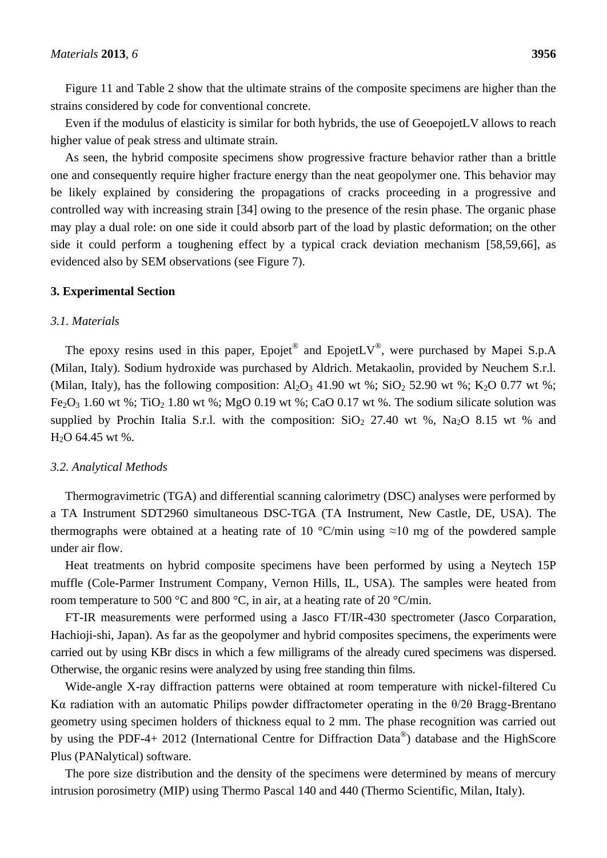Figure 11 and Table 2 show that the ultimate strains of the composite specimens are higher than the strains considered by code for conventional concrete.

Even if the modulus of elasticity is similar for both hybrids, the use of GeoepojetLV allows to reach higher value of peak stress and ultimate strain.

As seen, the hybrid composite specimens show progressive fracture behavior rather than a brittle one and consequently require higher fracture energy than the neat geopolymer one. This behavior may be likely explained by considering the propagations of cracks proceeding in a progressive and controlled way with increasing strain [34] owing to the presence of the resin phase. The organic phase may play a dual role: on one side it could absorb part of the load by plastic deformation; on the other side it could perform a toughening effect by a typical crack deviation mechanism [58,59,66], as evidenced also by SEM observations (see Figure 7).

### **3. Experimental Section**

# *3.1. Materials*

The epoxy resins used in this paper, Epojet® and EpojetLV®, were purchased by Mapei S.p.A (Milan, Italy). Sodium hydroxide was purchased by Aldrich. Metakaolin, provided by Neuchem S.r.l. (Milan, Italy), has the following composition:  $A_2O_3$  41.90 wt %; SiO<sub>2</sub> 52.90 wt %; K<sub>2</sub>O 0.77 wt %; Fe<sub>2</sub>O<sub>3</sub> 1.60 wt %; TiO<sub>2</sub> 1.80 wt %; MgO 0.19 wt %; CaO 0.17 wt %. The sodium silicate solution was supplied by Prochin Italia S.r.l. with the composition:  $SiO_2$  27.40 wt %, Na<sub>2</sub>O 8.15 wt % and H2O 64.45 wt %.

## *3.2. Analytical Methods*

Thermogravimetric (TGA) and differential scanning calorimetry (DSC) analyses were performed by a TA Instrument SDT2960 simultaneous DSC-TGA (TA Instrument, New Castle, DE, USA). The thermographs were obtained at a heating rate of 10 °C/min using  $\approx$ 10 mg of the powdered sample under air flow.

Heat treatments on hybrid composite specimens have been performed by using a Neytech 15P muffle (Cole-Parmer Instrument Company, Vernon Hills, IL, USA). The samples were heated from room temperature to 500 °C and 800 °C, in air, at a heating rate of 20 °C/min.

FT-IR measurements were performed using a Jasco FT/IR-430 spectrometer (Jasco Corparation, Hachioji-shi, Japan). As far as the geopolymer and hybrid composites specimens, the experiments were carried out by using KBr discs in which a few milligrams of the already cured specimens was dispersed. Otherwise, the organic resins were analyzed by using free standing thin films.

Wide-angle X-ray diffraction patterns were obtained at room temperature with nickel-filtered Cu Kα radiation with an automatic Philips powder diffractometer operating in the θ/2θ Bragg-Brentano geometry using specimen holders of thickness equal to 2 mm. The phase recognition was carried out by using the PDF-4+ 2012 (International Centre for Diffraction Data®) database and the HighScore Plus (PANalytical) software.

The pore size distribution and the density of the specimens were determined by means of mercury intrusion porosimetry (MIP) using Thermo Pascal 140 and 440 (Thermo Scientific, Milan, Italy).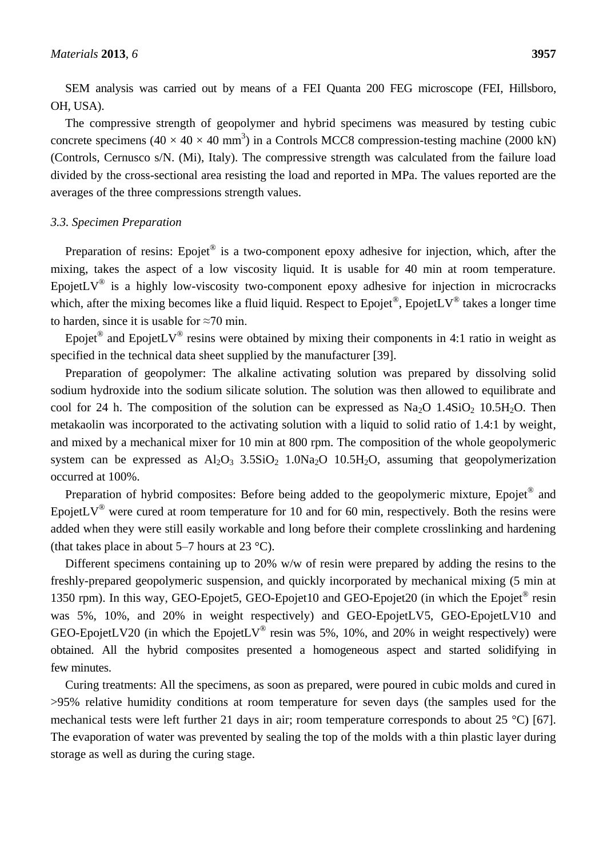SEM analysis was carried out by means of a FEI Quanta 200 FEG microscope (FEI, Hillsboro, OH, USA).

The compressive strength of geopolymer and hybrid specimens was measured by testing cubic concrete specimens (40  $\times$  40  $\times$  40 mm<sup>3</sup>) in a Controls MCC8 compression-testing machine (2000 kN) (Controls, Cernusco s/N. (Mi), Italy). The compressive strength was calculated from the failure load divided by the cross-sectional area resisting the load and reported in MPa. The values reported are the averages of the three compressions strength values.

# *3.3. Specimen Preparation*

Preparation of resins: Epojet<sup>®</sup> is a two-component epoxy adhesive for injection, which, after the mixing, takes the aspect of a low viscosity liquid. It is usable for 40 min at room temperature. EpojetLV $^{\circ}$  is a highly low-viscosity two-component epoxy adhesive for injection in microcracks which, after the mixing becomes like a fluid liquid. Respect to Epojet®, EpojetLV® takes a longer time to harden, since it is usable for  $\approx$ 70 min.

Epojet<sup>®</sup> and EpojetLV<sup>®</sup> resins were obtained by mixing their components in 4:1 ratio in weight as specified in the technical data sheet supplied by the manufacturer [39].

Preparation of geopolymer: The alkaline activating solution was prepared by dissolving solid sodium hydroxide into the sodium silicate solution. The solution was then allowed to equilibrate and cool for 24 h. The composition of the solution can be expressed as  $Na<sub>2</sub>O$  1.4SiO<sub>2</sub> 10.5H<sub>2</sub>O. Then metakaolin was incorporated to the activating solution with a liquid to solid ratio of 1.4:1 by weight, and mixed by a mechanical mixer for 10 min at 800 rpm. The composition of the whole geopolymeric system can be expressed as  $Al_2O_3$   $3.5SiO_2$   $1.0Na_2O$   $10.5H_2O$ , assuming that geopolymerization occurred at 100%.

Preparation of hybrid composites: Before being added to the geopolymeric mixture, Epojet® and EpojetLV<sup>®</sup> were cured at room temperature for 10 and for 60 min, respectively. Both the resins were added when they were still easily workable and long before their complete crosslinking and hardening (that takes place in about 5–7 hours at 23 °C).

Different specimens containing up to 20% w/w of resin were prepared by adding the resins to the freshly-prepared geopolymeric suspension, and quickly incorporated by mechanical mixing (5 min at 1350 rpm). In this way, GEO-Epojet5, GEO-Epojet10 and GEO-Epojet20 (in which the Epojet® resin was 5%, 10%, and 20% in weight respectively) and GEO-EpojetLV5, GEO-EpojetLV10 and GEO-EpojetLV20 (in which the EpojetLV<sup>®</sup> resin was 5%, 10%, and 20% in weight respectively) were obtained. All the hybrid composites presented a homogeneous aspect and started solidifying in few minutes.

Curing treatments: All the specimens, as soon as prepared, were poured in cubic molds and cured in >95% relative humidity conditions at room temperature for seven days (the samples used for the mechanical tests were left further 21 days in air; room temperature corresponds to about 25 °C) [67]. The evaporation of water was prevented by sealing the top of the molds with a thin plastic layer during storage as well as during the curing stage.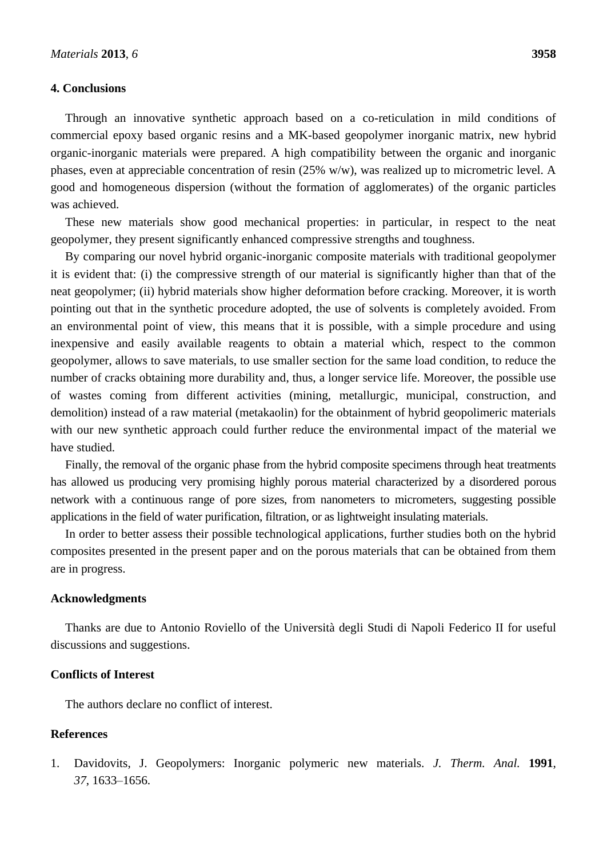# **4. Conclusions**

Through an innovative synthetic approach based on a co-reticulation in mild conditions of commercial epoxy based organic resins and a MK-based geopolymer inorganic matrix, new hybrid organic-inorganic materials were prepared. A high compatibility between the organic and inorganic phases, even at appreciable concentration of resin (25% w/w), was realized up to micrometric level. A good and homogeneous dispersion (without the formation of agglomerates) of the organic particles was achieved.

These new materials show good mechanical properties: in particular, in respect to the neat geopolymer, they present significantly enhanced compressive strengths and toughness.

By comparing our novel hybrid organic-inorganic composite materials with traditional geopolymer it is evident that: (i) the compressive strength of our material is significantly higher than that of the neat geopolymer; (ii) hybrid materials show higher deformation before cracking. Moreover, it is worth pointing out that in the synthetic procedure adopted, the use of solvents is completely avoided. From an environmental point of view, this means that it is possible, with a simple procedure and using inexpensive and easily available reagents to obtain a material which, respect to the common geopolymer, allows to save materials, to use smaller section for the same load condition, to reduce the number of cracks obtaining more durability and, thus, a longer service life. Moreover, the possible use of wastes coming from different activities (mining, metallurgic, municipal, construction, and demolition) instead of a raw material (metakaolin) for the obtainment of hybrid geopolimeric materials with our new synthetic approach could further reduce the environmental impact of the material we have studied.

Finally, the removal of the organic phase from the hybrid composite specimens through heat treatments has allowed us producing very promising highly porous material characterized by a disordered porous network with a continuous range of pore sizes, from nanometers to micrometers, suggesting possible applications in the field of water purification, filtration, or as lightweight insulating materials.

In order to better assess their possible technological applications, further studies both on the hybrid composites presented in the present paper and on the porous materials that can be obtained from them are in progress.

# **Acknowledgments**

Thanks are due to Antonio Roviello of the Università degli Studi di Napoli Federico II for useful discussions and suggestions.

# **Conflicts of Interest**

The authors declare no conflict of interest.

# **References**

1. Davidovits, J. Geopolymers: Inorganic polymeric new materials. *J. Therm. Anal.* **1991**, *37*, 1633–1656.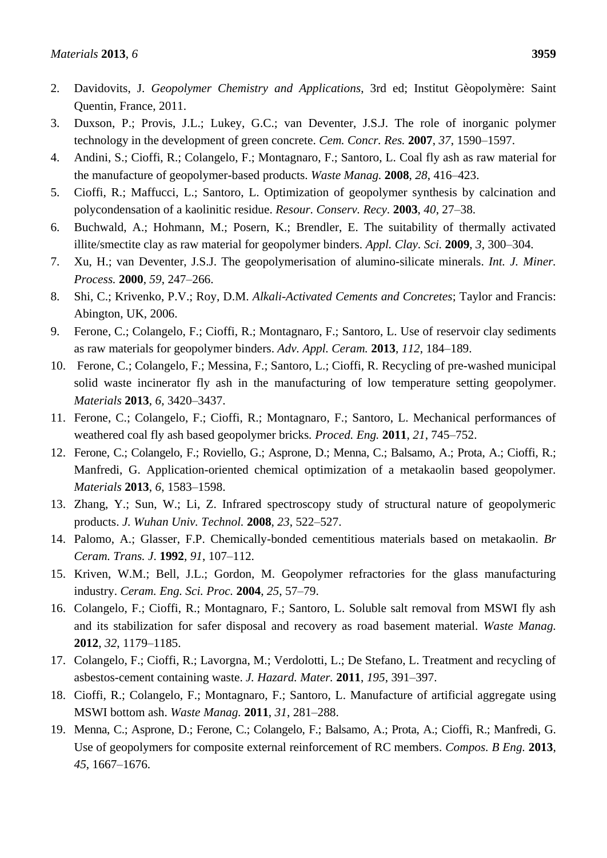- 2. Davidovits, J. *Geopolymer Chemistry and Applications*, 3rd ed; Institut Gèopolymère: Saint Quentin, France, 2011.
- 3. Duxson, P.; Provis, J.L.; Lukey, G.C.; van Deventer, J.S.J. The role of inorganic polymer technology in the development of green concrete. *Cem. Concr. Res.* **2007**, *37*, 1590–1597.
- 4. Andini, S.; Cioffi, R.; Colangelo, F.; Montagnaro, F.; Santoro, L. Coal fly ash as raw material for the manufacture of geopolymer-based products. *Waste Manag.* **2008**, *28*, 416–423.
- 5. Cioffi, R.; Maffucci, L.; Santoro, L. Optimization of geopolymer synthesis by calcination and polycondensation of a kaolinitic residue. *Resour. Conserv. Recy.* **2003**, *40*, 27–38.
- 6. Buchwald, A.; Hohmann, M.; Posern, K.; Brendler, E. The suitability of thermally activated illite/smectite clay as raw material for geopolymer binders. *Appl. Clay. Sci.* **2009**, *3*, 300–304.
- 7. Xu, H.; van Deventer, J.S.J. The geopolymerisation of alumino-silicate minerals. *Int. J. Miner. Process.* **2000**, *59*, 247–266.
- 8. Shi, C.; Krivenko, P.V.; Roy, D.M. *Alkali-Activated Cements and Concretes*; Taylor and Francis: Abington, UK, 2006.
- 9. Ferone, C.; Colangelo, F.; Cioffi, R.; Montagnaro, F.; Santoro, L. Use of reservoir clay sediments as raw materials for geopolymer binders. *Adv. Appl. Ceram.* **2013**, *112*, 184–189.
- 10. Ferone, C.; Colangelo, F.; Messina, F.; Santoro, L.; Cioffi, R. [Recycling of pre-washed municipal](http://www.mdpi.com/1996-1944/6/8/3420)  [solid waste incinerator fly ash in the manufacturing of low temperature setting geopolymer.](http://www.mdpi.com/1996-1944/6/8/3420) *Materials* **2013**, *6*, 3420–3437.
- 11. Ferone, C.; Colangelo, F.; Cioffi, R.; Montagnaro, F.; Santoro, L. Mechanical performances of weathered coal fly ash based geopolymer bricks*. Proced. Eng.* **2011**, *21*, 745–752.
- 12. Ferone, C.; Colangelo, F.; Roviello, G.; Asprone, D.; Menna, C.; Balsamo, A.; Prota, A.; Cioffi, R.; Manfredi, G. Application-oriented chemical optimization of a metakaolin based geopolymer. *Materials* **2013**, *6*, 1583–1598.
- 13. Zhang, Y.; Sun, W.; Li, Z. Infrared spectroscopy study of structural nature of geopolymeric products. *J. Wuhan Univ. Technol.* **2008**, *23*, 522–527.
- 14. Palomo, A.; Glasser, F.P. Chemically-bonded cementitious materials based on metakaolin. *Br Ceram. Trans. J*. **1992**, *91*, 107–112.
- 15. Kriven, W.M.; Bell, J.L.; Gordon, M. Geopolymer refractories for the glass manufacturing industry. *Ceram. Eng. Sci. Proc.* **2004**, *25*, 57–79.
- 16. Colangelo, F.; Cioffi, R.; Montagnaro, F.; Santoro, L. Soluble salt removal from MSWI fly ash and its stabilization for safer disposal and recovery as road basement material. *Waste Manag.*  **2012**, *32*, 1179–1185.
- 17. Colangelo, F.; Cioffi, R.; Lavorgna, M.; Verdolotti, L.; De Stefano, L. Treatment and recycling of asbestos-cement containing waste. *J. Hazard. Mater.* **2011**, *195*, 391–397.
- 18. Cioffi, R.; Colangelo, F.; Montagnaro, F.; Santoro, L. Manufacture of artificial aggregate using MSWI bottom ash. *Waste Manag.* **2011**, *31*, 281–288.
- 19. Menna, C.; Asprone, D.; Ferone, C.; Colangelo, F.; Balsamo, A.; Prota, A.; Cioffi, R.; Manfredi, G. Use of geopolymers for composite external reinforcement of RC members. *Compos. B Eng.* **2013**, *45*, 1667–1676.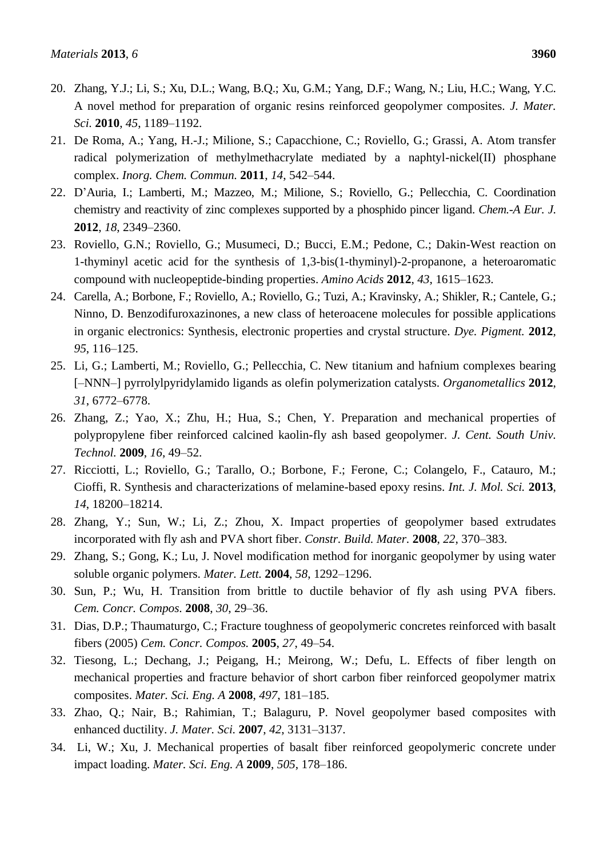- 20. Zhang, Y.J.; Li, S.; Xu, D.L.; Wang, B.Q.; Xu, G.M.; Yang, D.F.; Wang, N.; Liu, H.C.; Wang, Y.C. A novel method for preparation of organic resins reinforced geopolymer composites. *J. Mater. Sci.* **2010**, *45*, 1189–1192.
- 21. De Roma, A.; Yang, H.-J.; Milione, S.; Capacchione, C.; Roviello, G.; Grassi, A. Atom transfer radical polymerization of methylmethacrylate mediated by a naphtyl-nickel(II) phosphane complex. *Inorg. Chem. Commun.* **2011**, *14*, 542–544.
- 22. D'Auria, I.; Lamberti, M.; Mazzeo, M.; Milione, S.; Roviello, G.; Pellecchia, C. Coordination chemistry and reactivity of zinc complexes supported by a phosphido pincer ligand. *Chem.-A Eur. J.* **2012**, *18*, 2349–2360.
- 23. Roviello, G.N.; Roviello, G.; Musumeci, D.; Bucci, E.M.; Pedone, C.; Dakin-West reaction on 1-thyminyl acetic acid for the synthesis of 1,3-bis(1-thyminyl)-2-propanone, a heteroaromatic compound with nucleopeptide-binding properties. *Amino Acids* **2012**, *43*, 1615–1623.
- 24. Carella, A.; Borbone, F.; Roviello, A.; Roviello, G.; Tuzi, A.; Kravinsky, A.; Shikler, R.; Cantele, G.; Ninno, D. Benzodifuroxazinones, a new class of heteroacene molecules for possible applications in organic electronics: Synthesis, electronic properties and crystal structure. *Dye. Pigment.* **2012**, *95*, 116–125.
- 25. Li, G.; Lamberti, M.; Roviello, G.; Pellecchia, C. New titanium and hafnium complexes bearing [–NNN–] pyrrolylpyridylamido ligands as olefin polymerization catalysts. *Organometallics* **2012**, *31*, 6772–6778.
- 26. Zhang, Z.; Yao, X.; Zhu, H.; Hua, S.; Chen, Y. Preparation and mechanical properties of polypropylene fiber reinforced calcined kaolin-fly ash based geopolymer. *J. Cent. South Univ. Technol.* **2009**, *16*, 49–52.
- 27. Ricciotti, L.; Roviello, G.; Tarallo, O.; Borbone, F.; Ferone, C.; Colangelo, F., Catauro, M.; Cioffi, R. Synthesis and characterizations of melamine-based epoxy resins. *Int. J. Mol. Sci.* **2013**, *14*, 18200–18214.
- 28. Zhang, Y.; Sun, W.; Li, Z.; Zhou, X. Impact properties of geopolymer based extrudates incorporated with fly ash and PVA short fiber. *Constr. Build. Mater.* **2008**, *22*, 370–383.
- 29. Zhang, S.; Gong, K.; Lu, J. Novel modification method for inorganic geopolymer by using water soluble organic polymers. *Mater. Lett.* **2004**, *58*, 1292–1296.
- 30. Sun, P.; Wu, H. Transition from brittle to ductile behavior of fly ash using PVA fibers. *Cem. Concr. Compos.* **2008**, *30*, 29–36.
- 31. Dias, D.P.; Thaumaturgo, C.; Fracture toughness of geopolymeric concretes reinforced with basalt fibers (2005) *Cem. Concr. Compos.* **2005**, *27*, 49–54.
- 32. Tiesong, L.; Dechang, J.; Peigang, H.; Meirong, W.; Defu, L. Effects of fiber length on mechanical properties and fracture behavior of short carbon fiber reinforced geopolymer matrix composites. *Mater. Sci. Eng. A* **2008**, *497*, 181–185.
- 33. Zhao, Q.; Nair, B.; Rahimian, T.; Balaguru, P. Novel geopolymer based composites with enhanced ductility. *J. Mater. Sci.* **2007**, *42*, 3131–3137.
- 34. Li, W.; Xu, J. Mechanical properties of basalt fiber reinforced geopolymeric concrete under impact loading. *Mater. Sci. Eng. A* **2009**, *505*, 178–186.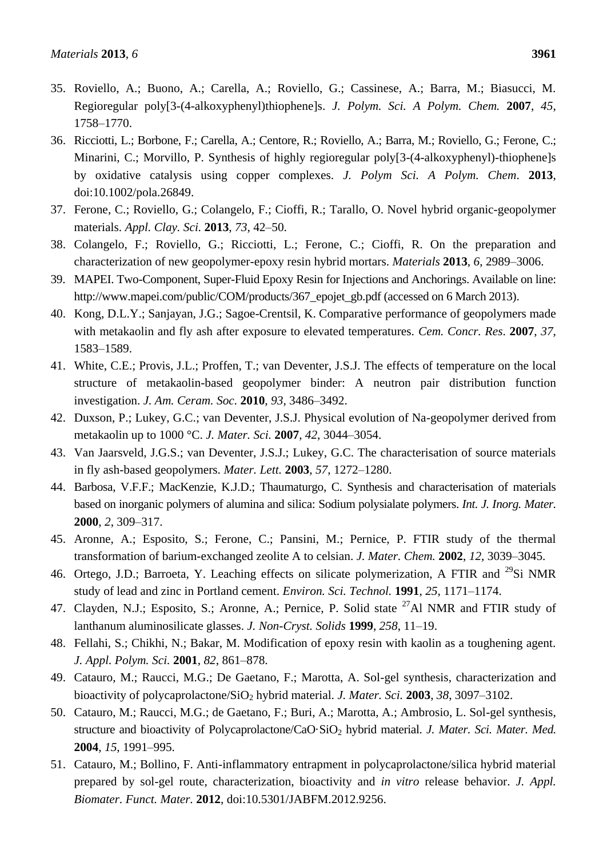- 35. Roviello, A.; Buono, A.; Carella, A.; Roviello, G.; Cassinese, A.; Barra, M.; Biasucci, M. Regioregular poly[3-(4-alkoxyphenyl)thiophene]s. *J. Polym. Sci. A Polym. Chem.* **2007**, *45*, 1758–1770.
- 36. Ricciotti, L.; Borbone, F.; Carella, A.; Centore, R.; Roviello, A.; Barra, M.; Roviello, G.; Ferone, C.; Minarini, C.; Morvillo, P. Synthesis of highly regioregular poly[3-(4-alkoxyphenyl)-thiophene]s by oxidative catalysis using copper complexes. *J. Polym Sci. A Polym. Chem*. **2013**, doi:10.1002/pola.26849.
- 37. Ferone, C.; Roviello, G.; Colangelo, F.; Cioffi, R.; Tarallo, O. Novel hybrid organic-geopolymer materials. *Appl. Clay. Sci.* **2013**, *73*, 42–50.
- 38. Colangelo, F.; Roviello, G.; Ricciotti, L.; Ferone, C.; Cioffi, R. On the preparation and characterization of new geopolymer-epoxy resin hybrid mortars. *Materials* **2013**, *6*, 2989–3006.
- 39. MAPEI. Two-Component, Super-Fluid Epoxy Resin for Injections and Anchorings. Available on line: http://www.mapei.com/public/COM/products/367\_epojet\_gb.pdf (accessed on 6 March 2013).
- 40. Kong, D.L.Y.; Sanjayan, J.G.; Sagoe-Crentsil, K. Comparative performance of geopolymers made with metakaolin and fly ash after exposure to elevated temperatures. *Cem. Concr. Res*. **2007**, *37*, 1583–1589.
- 41. White, C.E.; Provis, J.L.; Proffen, T.; van Deventer, J.S.J. The effects of temperature on the local structure of metakaolin-based geopolymer binder: A neutron pair distribution function investigation. *J. Am. Ceram. Soc.* **2010**, *93*, 3486–3492.
- 42. Duxson, P.; Lukey, G.C.; van Deventer, J.S.J. Physical evolution of Na-geopolymer derived from metakaolin up to 1000 °C. *J. Mater. Sci.* **2007**, *42*, 3044–3054.
- 43. Van Jaarsveld, J.G.S.; van Deventer, J.S.J.; Lukey, G.C. The characterisation of source materials in fly ash-based geopolymers. *Mater. Lett.* **2003**, *57*, 1272–1280.
- 44. Barbosa, V.F.F.; MacKenzie, K.J.D.; Thaumaturgo, C. Synthesis and characterisation of materials based on inorganic polymers of alumina and silica: Sodium polysialate polymers. *Int. J. Inorg. Mater.* **2000**, *2*, 309–317.
- 45. Aronne, A.; Esposito, S.; Ferone, C.; Pansini, M.; Pernice, P. FTIR study of the thermal transformation of barium-exchanged zeolite A to celsian. *J. Mater. Chem.* **2002**, *12*, 3039–3045.
- 46. Ortego, J.D.; Barroeta, Y. Leaching effects on silicate polymerization, A FTIR and <sup>29</sup>Si NMR study of lead and zinc in Portland cement. *Environ. Sci. Technol.* **1991**, *25*, 1171–1174.
- 47. Clayden, N.J.; Esposito, S.; Aronne, A.; Pernice, P. Solid state  $^{27}$ Al NMR and FTIR study of lanthanum aluminosilicate glasses. *J. Non-Cryst. Solids* **1999**, *258*, 11–19.
- 48. Fellahi, S.; Chikhi, N.; Bakar, M. Modification of epoxy resin with kaolin as a toughening agent. *J. Appl. Polym. Sci.* **2001**, *82*, 861–878.
- 49. Catauro, M.; Raucci, M.G.; De Gaetano, F.; Marotta, A. Sol-gel synthesis, characterization and bioactivity of polycaprolactone/SiO<sup>2</sup> hybrid material. *J. Mater. Sci.* **2003**, *38*, 3097–3102.
- 50. Catauro, M.; Raucci, M.G.; de Gaetano, F.; Buri, A.; Marotta, A.; Ambrosio, L. Sol-gel synthesis, structure and bioactivity of Polycaprolactone/CaO·SiO<sup>2</sup> hybrid material. *J. Mater. Sci. Mater. Med.* **2004**, *15*, 1991–995.
- 51. Catauro, M.; Bollino, F. Anti-inflammatory entrapment in polycaprolactone/silica hybrid material prepared by sol-gel route, characterization, bioactivity and *in vitro* release behavior. *J. Appl. Biomater. Funct. Mater.* **2012**, doi:10.5301/JABFM.2012.9256.